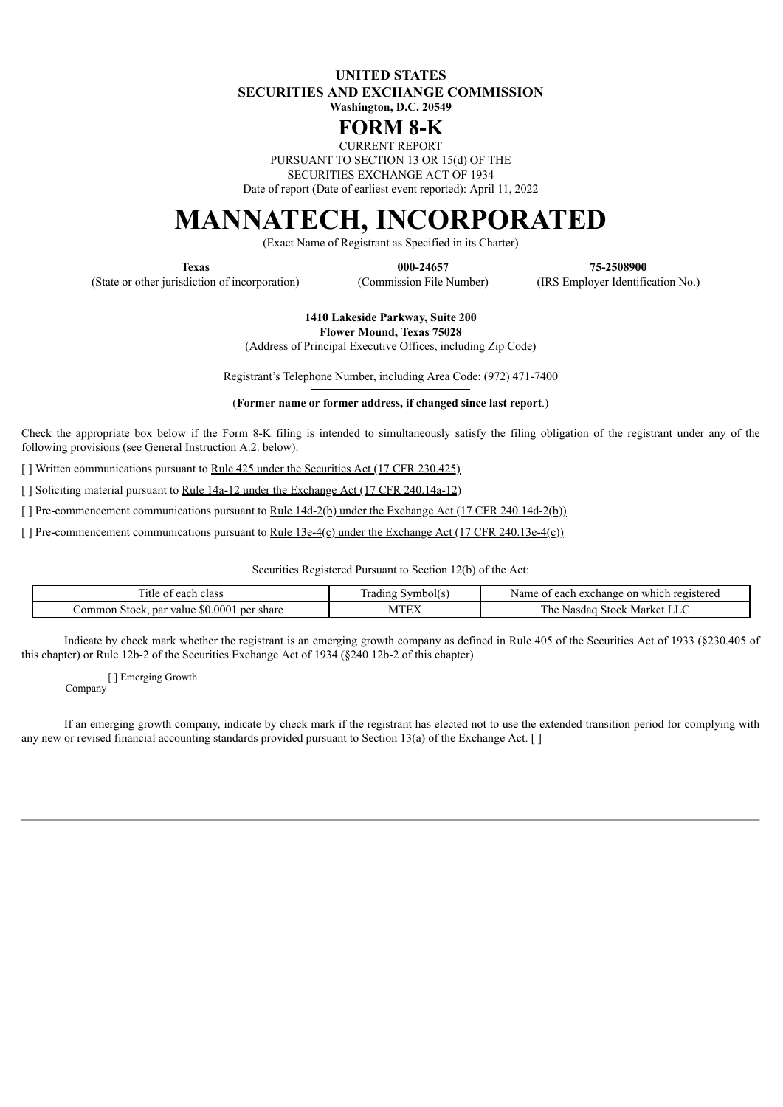**UNITED STATES SECURITIES AND EXCHANGE COMMISSION Washington, D.C. 20549**

## **FORM 8-K**

CURRENT REPORT

PURSUANT TO SECTION 13 OR 15(d) OF THE

SECURITIES EXCHANGE ACT OF 1934

Date of report (Date of earliest event reported): April 11, 2022

## **MANNATECH, INCORPORATED**

(Exact Name of Registrant as Specified in its Charter)

(State or other jurisdiction of incorporation) (Commission File Number) (IRS Employer Identification No.)

**Texas 000-24657 75-2508900**

**1410 Lakeside Parkway, Suite 200 Flower Mound, Texas 75028**

(Address of Principal Executive Offices, including Zip Code)

Registrant's Telephone Number, including Area Code: (972) 471-7400

(**Former name or former address, if changed since last report**.)

Check the appropriate box below if the Form 8-K filing is intended to simultaneously satisfy the filing obligation of the registrant under any of the following provisions (see General Instruction A.2. below):

[ ] Written communications pursuant to Rule 425 under the Securities Act (17 CFR 230.425)

[ ] Soliciting material pursuant to <u>Rule 14a-12</u> under the Exchange Act (17 CFR 240.14a-12)

[ ] Pre-commencement communications pursuant to <u>Rule 14d-2(b) under the Exchange Act (17 CFR 240.14d-2(b)</u>)

[ ] Pre-commencement communications pursuant to <u>Rule 13e-4(c)</u> under the Exchange Act (17 CFR 240.13e-4(c))

Securities Registered Pursuant to Section 12(b) of the Act:

| 1tle<br>class<br>each<br>ΩŤ                          | rading<br>mbolts<br>T/T | e registered<br>or<br>exchange<br>Name<br>$\alpha$<br>≅wnich :<br>. .acn r<br>. |
|------------------------------------------------------|-------------------------|---------------------------------------------------------------------------------|
| \$0.000<br>per share<br>par value<br>`ommon<br>stock | $-$<br>IV/I             | Market<br>Stock<br>l he<br>Nasdac                                               |

Indicate by check mark whether the registrant is an emerging growth company as defined in Rule 405 of the Securities Act of 1933 (§230.405 of this chapter) or Rule 12b-2 of the Securities Exchange Act of 1934 (§240.12b-2 of this chapter)

[ ] Emerging Growth Company

If an emerging growth company, indicate by check mark if the registrant has elected not to use the extended transition period for complying with any new or revised financial accounting standards provided pursuant to Section 13(a) of the Exchange Act. []